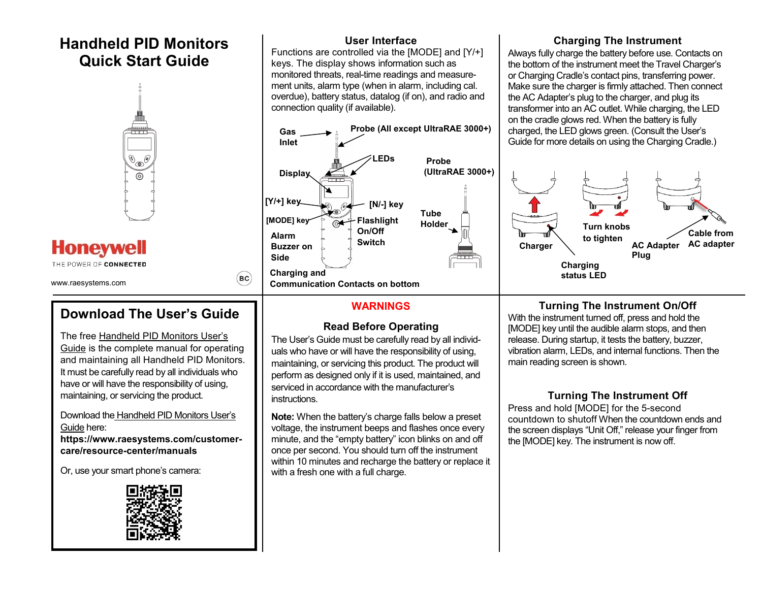## **Handheld PID Monitors Quick Start Guide**



# **Honeywell**

THE POWER OF CONNECTED

www.raesystems.com

## **Download The User's Guide**

 $\left($ BC $\right)$ 

The free Handheld PID Monitors User's Guide is the complete manual for operating and maintaining all Handheld PID Monitors. It must be carefully read by all individuals who have or will have the responsibility of using, maintaining, or servicing the product.

Download the Handheld PID Monitors User's Guide here: **https://www.raesystems.com/customer-**

**care/resource-center/manuals**

Or, use your smart phone's camera:



#### **User Interface**

Functions are controlled via the [MODE] and [Y/+] keys. The display shows information such as monitored threats, real-time readings and measurement units, alarm type (when in alarm, including cal. overdue), battery status, datalog (if on), and radio and connection quality (if available).



#### **WARNINGS**

#### **Read Before Operating**

The User's Guide must be carefully read by all individuals who have or will have the responsibility of using, maintaining, or servicing this product. The product will perform as designed only if it is used, maintained, and serviced in accordance with the manufacturer's instructions.

**Note:** When the battery's charge falls below a preset voltage, the instrument beeps and flashes once every minute, and the "empty battery" icon blinks on and off once per second. You should turn off the instrument within 10 minutes and recharge the battery or replace it with a fresh one with a full charge.

#### **Charging The Instrument**

Always fully charge the battery before use. Contacts on the bottom of the instrument meet the Travel Charger's or Charging Cradle's contact pins, transferring power. Make sure the charger is firmly attached. Then connect the AC Adapter's plug to the charger, and plug its transformer into an AC outlet. While charging, the LED on the cradle glows red. When the battery is fully charged, the LED glows green. (Consult the User's Guide for more details on using the Charging Cradle.)



#### **Turning The Instrument On/Off**

With the instrument turned off, press and hold the [MODE] key until the audible alarm stops, and then release. During startup, it tests the battery, buzzer, vibration alarm, LEDs, and internal functions. Then the main reading screen is shown.

#### **Turning The Instrument Off**

Press and hold [MODE] for the 5-second countdown to shutoff When the countdown ends and the screen displays "Unit Off," release your finger from the [MODE] key. The instrument is now off.